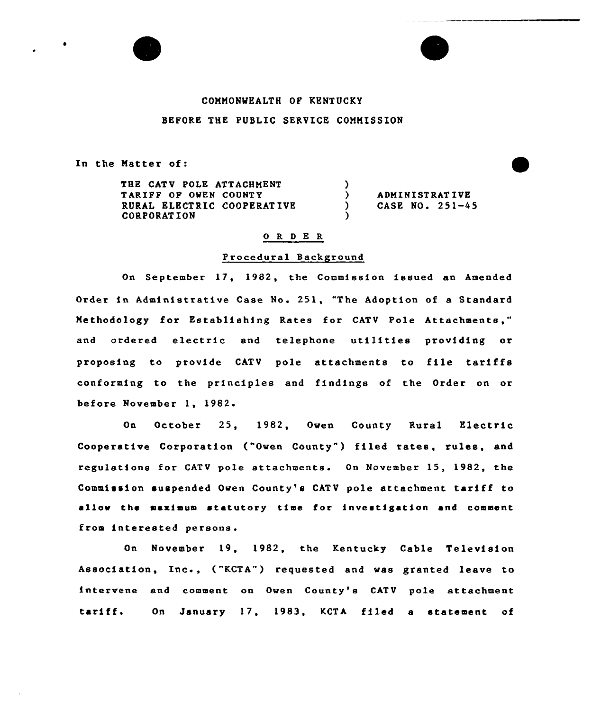# COMMONWEALTH OF KENTUCKY

## BEFORE THE PUBLIC SERVICE COMMISSION

In the Matter of:

THE CATV POLE ATTACHMENT TARIFF OP OWEN COUNTY RURAL ELECTRIC COOPERATIVE CORPORAT ION  $\left\{ \right.$ ) ) ADMINISTRATIVE<br>
) CASE NO. 251-4 ) CASE NO. 251-45 )

### 0 R <sup>D</sup> E R

#### Procedural Background

On September 17, 1982, the Commission issued an Amended Order in Administrative Case No. 251, "The Adoption of a Standard Methodology for Establishing Rates for CATV Pole Attachments," and ordered electric and telephone utilities providing or proposing to provide CATV pole attachments to file tariffs conforming to the principles and findings of the Order on or before November 1, 1982

On October 25, 1982, Owen County Rural Electric Cooper<mark>ative C</mark>orporation ("Owen County") filed rates, rules, and regulations for CATV pole attachments. On November 15, 1982, the Commission suspended Owen County's CATV pole attachment tariff to allow the maximum statutory time for investigation and comment from interested persons.

On November 19, 1982, the Kentucky Cable Television Association, Inc., ("KCTA") requested and was granted leave to intervene and comment on Owen County's CATV pole attachment tariff. On January 17, 1983, KCTA filed a statement of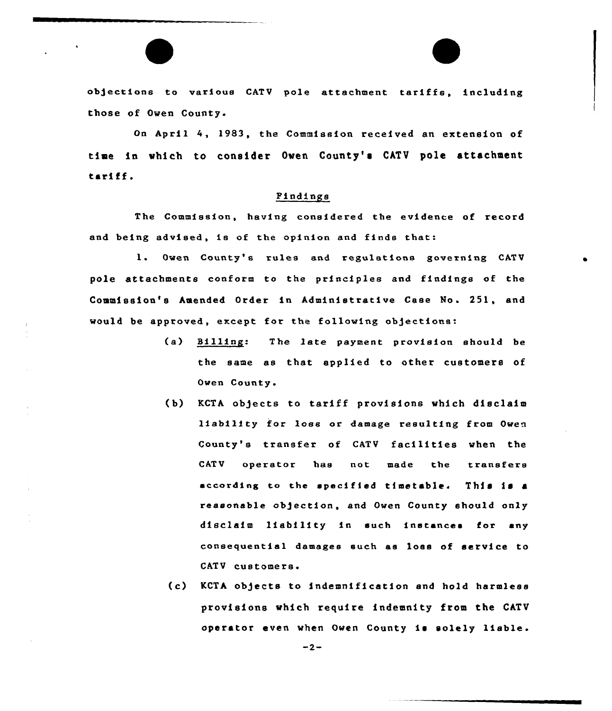objections to various CATV pole attachment tariffs, including those of Owen County.

On April 4, 1983, the Commission received an extension of time in which to consider Oven County's CATV pole attachment tariff.

## Findings

The Commission, having considered the evidence of record and being advised, ie of the opinion and finds that:

1. Owen County'e rules and regulstfone governing CATV pole attachments conform to the principles and findings of the Commission's Amended Order in Administrative Case No. 251, and would be approved, except for the following objections:

- (a) Billing: The late payment provision should be the same as that applied to other customers of Owen County.
- (b) KCTA objects to tariff provisions which disclaim liability for loss or damage resulting from Owen County's transfer of CATV facilities when the CATU operator hae not made the tranefere according to the specified timetable. This is a reasonable obgection, and Owen County should only disclaim lfabflity fn such instances for any consequential damages such as loss of service to CATV customers
- (c) KCTA objects to fndemnification and hold harmless provisions which require indemnity from the CATV operator even when Owen County is solely liable.

 $-2-$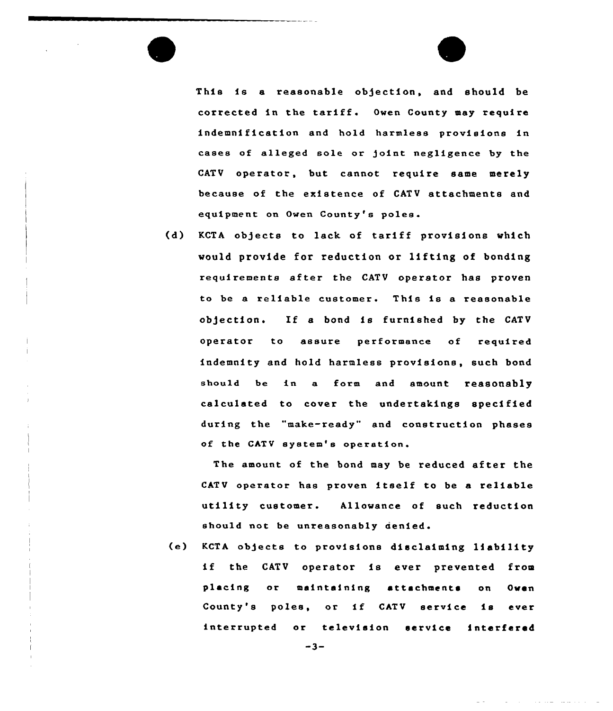This is a reasonable objection, and should be corrected in the tariff. Owen County may require indemnification and hold harmless provisions in cases of alleged sole or joint negligence by the CATV operator, but cannot require same merely because of the existence of CATV attachments and equipment on Owen County's poles.

(d) KCTA objects to lack of tariff provisions which would provide for reduction or lifting of bonding requirements after the CATV operator has prove to be a reliable customer. This is a reasonabl ob)ection. If <sup>a</sup> bond is furnished by the CATV operator to assure performance of required indemnity and hold harmless provisions, such bond should be in a form and amount reasonably calculated to cover the undertakings specified during the "make-ready" and construction phases of the CATV system's operation.

The amount of the bond may be reduced after the CATV operator has proven itself to be <sup>a</sup> reliable utility customer. Allowance of such reduction should not be unreasonably denied.

(e) KCTA objects to provisions disclaiming liability if the CATV operator is ever prevented from placing or maintaining attachments on Owen County's poles, or if CATV service is ever interrupted or television service interfered

 $-3-$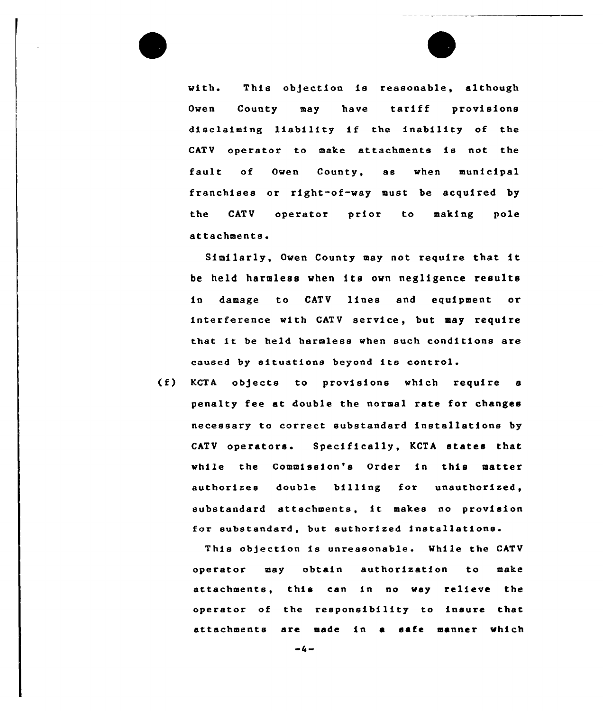with. This objection is reasonable, although Owen County may have tariff provisions disclaiming liability if the inability of the CATV operator to make attachments is not the fault of Owen County, as when municipal franchises or right-of-way must be acquired by the CATV operator prior to making pole attachments.

Similarly, Owen County may not require that it be held harmless when its own negligence results in damage to CATV linea and equipment or interference with GATV service, but may require that it be held harmless when such conditions are caused by situations beyond its control.

(f) KCTA ob)ects to provisions which require <sup>a</sup> penalty fee at double the normal rate for changes necessary to correct substandard installations by CATV operators. Specifically, KCTA states that while the Commission's Order in this matter authorizes double billing for substandard attachments, it makes no provision for substandard, but authorized installations.

This objection is unreasonable. While the CATV operator may obtain authorization to make attachments, this can in no way relieve the operator of the responsibility to insure that attachments are made in a safe manner which

 $-4-$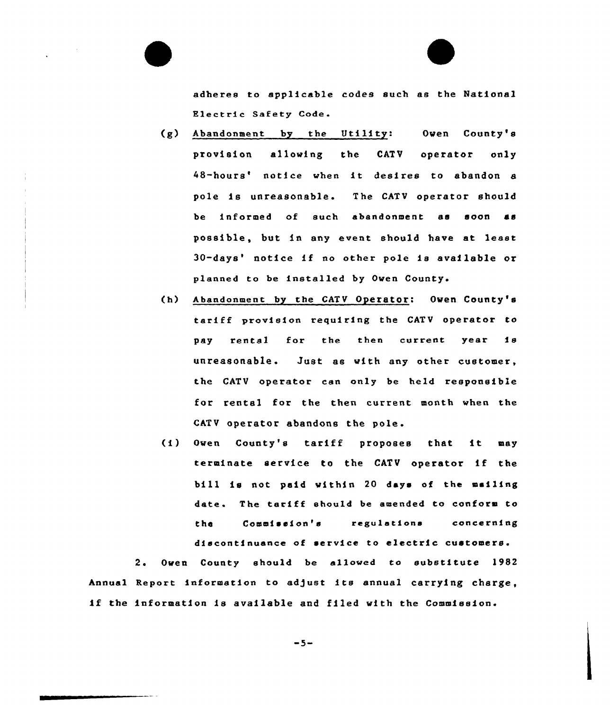adheres to applicable codes such as the National Electric Safety Code.

- (g) Abandonment by the Utility: Oven County's provision alloving the CATV operator only 48-hours' notice when it desires to abandon a pole is unreasonable. The CATV operator should be informed of such abandonment as soon as possible, but in any event should have at least 30-days' notice if no other pole is available or planned to be installed by Oven County.
- (h) Abandonment by the CATV Operator: Oven County's tariff provision requiring the CATV operator to pay rental for the then current year is unreasonable. Just as vith any other customer, the CATV operator can only be held responsible for rental for the then current month when the CATV operator abandons the pole.
- (i) Oven County's tariff proposes that it may terminate service to the CATV operator if the bill is not paid vithin <sup>20</sup> days of the mailing date. The tariff should be amended to conform to the Commission's regulations concerning discontinuance of service to electric customers.

2. Owen County should be allowed to substitute 1982 Annual Report information to adjust its annual carrying charge, if the information is available and filed vith the Commission

$$
-5-
$$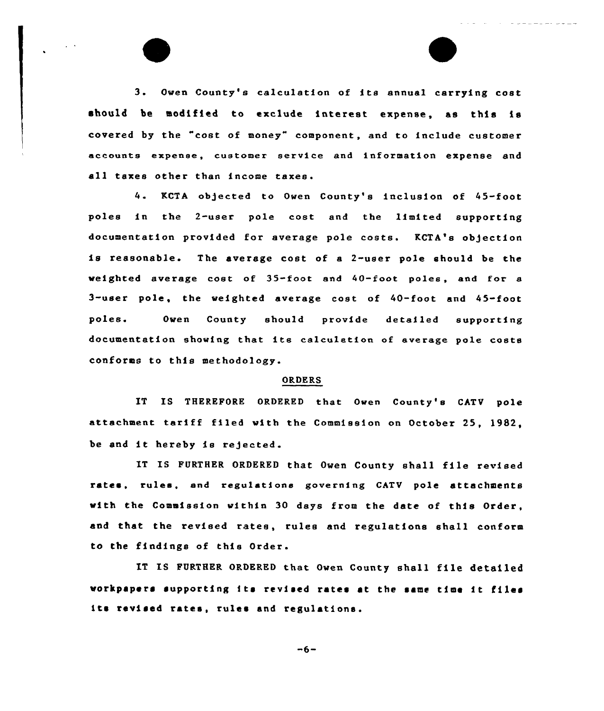3. Owen County's calculation of its annual carrying cost should be modified to exclude interest expense, as this is covered by the "cost of money" component, and to include customer accounts expense, customer service and information expense and all taxes other than income taxes.

KCTA ob)ected to Owen County's inclusion of 45-foot poles in the 2-user po1e cost and the limited supporting documentation provided for average pole costs. KCTA's ob)ection is reasonable. The average cost of <sup>a</sup> 2-user pole should be the weighted average cost of 35-foot and 40-foot poles, and for a 3-user pole, the weighted average cost of 40-foot and 45-foot poles. Owen County should provide detailed supporting documentation showing that its calculation of average pole costs conforms to this methodology.

#### ORDERS

IT IS THEREFORE ORDERED that Owen County's CATV pole attachment tariff filed with the Commission on October 25, 1982, be and it hereby is rejected

IT IS FURTHER ORDERED that Owen County shall file revised rates, rules, and regulatione governing CATV pole attachments with the Commission within 30 days from the date of this Order, and that the revised rates, rules and regulations shall conform to the findings of this Order.

IT IS FURTHER ORDERED that Owen County shall file detailed workpapers supporting its revised rates at the same time it files its revised rates, rules and regulations.

 $-6-$